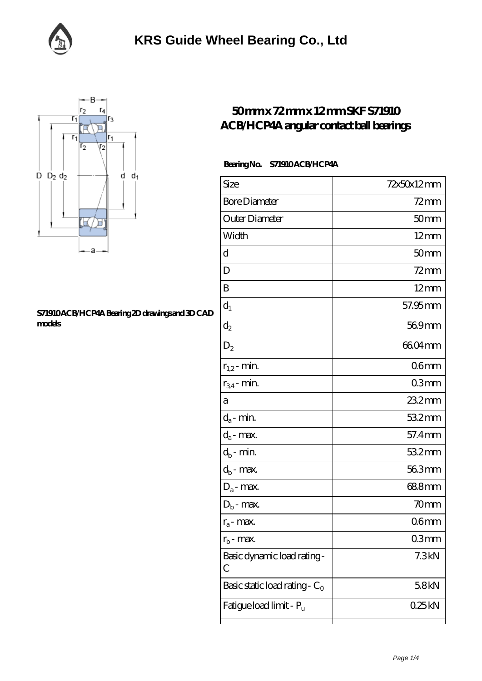



## **[S71910 ACB/HCP4A Bearing 2D drawings and 3D CAD](https://facebook-desktop.com/pic-104670.html) [models](https://facebook-desktop.com/pic-104670.html)**

## **[50 mm x 72 mm x 12 mm SKF S71910](https://facebook-desktop.com/au-104670-skf-s71910-acb-hcp4a-angular-contact-ball-bearings.html) [ACB/HCP4A angular contact ball bearings](https://facebook-desktop.com/au-104670-skf-s71910-acb-hcp4a-angular-contact-ball-bearings.html)**

## **Bearing No. S71910 ACB/HCP4A**

| Size                             | 72x50x12mm       |
|----------------------------------|------------------|
| <b>Bore Diameter</b>             | $72$ mm          |
| Outer Diameter                   | 50 <sub>mm</sub> |
| Width                            | $12 \text{mm}$   |
| d                                | 50 <sub>mm</sub> |
| D                                | $72$ mm          |
| B                                | $12 \text{mm}$   |
| $d_1$                            | 57.95 mm         |
| $\mathrm{d}_2$                   | 569mm            |
| $D_2$                            | 6604mm           |
| $r_{1,2}$ - min.                 | 06 <sub>mm</sub> |
| $r_{34}$ - min.                  | 03 <sub>mm</sub> |
| а                                | $232$ mm         |
| $d_a$ - min.                     | 532mm            |
| $d_a$ - max.                     | 57.4mm           |
| $d_b$ - min.                     | 532mm            |
| $d_b$ - max.                     | 563mm            |
| $D_a$ - max.                     | 688mm            |
| $D_b$ - max.                     | 70 <sub>mm</sub> |
| $r_a$ - max.                     | 06 <sub>mm</sub> |
| $r_{\rm b}$ - max.               | Q3mm             |
| Basic dynamic load rating-<br>С  | 7.3kN            |
| Basic static load rating - $C_0$ | 58kN             |
| Fatigue load limit - Pu          | 025kN            |
|                                  |                  |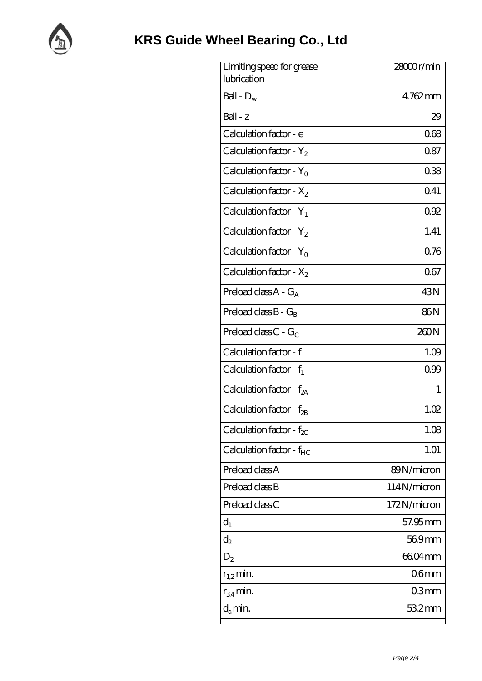

| Limiting speed for grease<br>lubrication | 28000r/min       |
|------------------------------------------|------------------|
| Ball - $D_w$                             | $4762$ mm        |
| Ball - z                                 | 29               |
| Calculation factor - e                   | 068              |
| Calculation factor - $Y_2$               | 0.87             |
| Calculation factor - $Y_0$               | 038              |
| Calculation factor - $X_2$               | 0.41             |
| Calculation factor - $Y_1$               | 092              |
| Calculation factor - $Y_2$               | 1.41             |
| Calculation factor - $Y_0$               | 0.76             |
| Calculation factor - $X_2$               | 067              |
| Preload class $A - G_A$                  | 43N              |
| Preload class $B - G_R$                  | 86N              |
| Preload class $C - G_C$                  | 260N             |
| Calculation factor - f                   | 1.09             |
| Calculation factor - $f_1$               | 0.99             |
| Calculation factor - $f_{2A}$            | 1                |
| Calculation factor - f <sub>2B</sub>     | 1.02             |
| Calculation factor - $f_{\chi}$          | 1.08             |
| Calculation factor - $f_{HC}$            | 1.01             |
| Preload class A                          | 89N/micron       |
| Preload class B                          | 114N/micron      |
| Preload class C                          | 172N/micron      |
| $d_1$                                    | 57.95mm          |
| $\mathrm{d}_2$                           | 569mm            |
| $D_2$                                    | 6604mm           |
| $r_{1,2}$ min.                           | 06 <sub>mm</sub> |
| $r_{34}$ min.                            | 03 <sub>mm</sub> |
| $d_a$ min.                               | $532$ mm         |
|                                          |                  |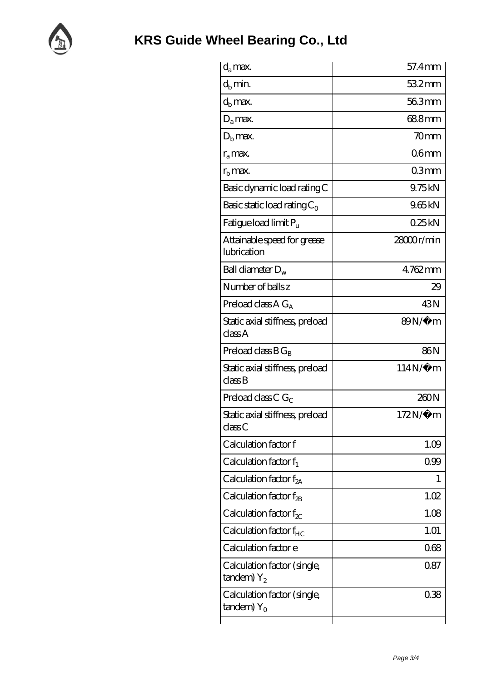

| $d_a$ max.                                                    | 57.4mm           |
|---------------------------------------------------------------|------------------|
| $d_b$ min.                                                    | 532mm            |
| $d_h$ max.                                                    | 563mm            |
| $D_a$ max.                                                    | 68.8mm           |
| $Db$ max.                                                     | 70 <sub>mm</sub> |
| $r_a$ max.                                                    | 06 <sub>mm</sub> |
| $r_{\rm b}$ max.                                              | 03mm             |
| Basic dynamic load rating C                                   | 9.75kN           |
| Basic static load rating $C_0$                                | 965kN            |
| Fatigue load limit $P_u$                                      | 025kN            |
| Attainable speed for grease<br>lubrication                    | 28000r/min       |
| Ball diameter $D_w$                                           | 4762mm           |
| Number of balls z                                             | 29               |
| Preload class $AG_A$                                          | 43N              |
| Static axial stiffness, preload<br>classA                     | $89N/\mu$ m      |
| Preload class $BG_R$                                          | 86N              |
| Static axial stiffness, preload<br>$\mathrm{class}\mathrm{B}$ | $114N/\mu$ m     |
| Preload class C $G_C$                                         | 260N             |
| Static axial stiffness, preload<br>classC                     | 172N/μ m         |
| Calculation factor f                                          | 1.09             |
| Calculation factor $f_1$                                      | 099              |
| C alculation factor $f_{2A}$                                  | 1                |
| Calculation factor $f_{2B}$                                   | 1.02             |
| Calculation factor $f_{\chi}$                                 | 1.08             |
| Calculation factor $f_{HC}$                                   | 1.01             |
| Calculation factor e                                          | 068              |
| Calculation factor (single,<br>$t$ andem) $Y_2$               | 087              |
| Calculation factor (single,<br>$t$ andem) Y <sub>o</sub>      | 038              |
|                                                               |                  |